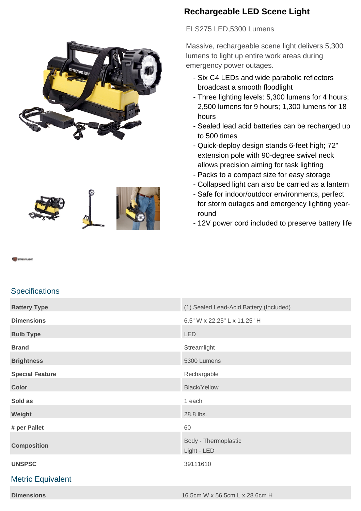





# **Rechargeable LED Scene Light**

ELS275 LED,5300 Lumens

Massive, rechargeable scene light delivers 5,300 lumens to light up entire work areas during emergency power outages.

- Six C4 LEDs and wide parabolic reflectors broadcast a smooth floodlight
- Three lighting levels: 5,300 lumens for 4 hours; 2,500 lumens for 9 hours; 1,300 lumens for 18 hours
- Sealed lead acid batteries can be recharged up to 500 times
- Quick-deploy design stands 6-feet high; 72" extension pole with 90-degree swivel neck allows precision aiming for task lighting
- Packs to a compact size for easy storage
- Collapsed light can also be carried as a lantern
- Safe for indoor/outdoor environments, perfect for storm outages and emergency lighting yearround
- 12V power cord included to preserve battery life

# **Specifications**

| <b>Battery Type</b>      | (1) Sealed Lead-Acid Battery (Included) |
|--------------------------|-----------------------------------------|
| <b>Dimensions</b>        | 6.5" W x 22.25" L x 11.25" H            |
| <b>Bulb Type</b>         | <b>LED</b>                              |
| <b>Brand</b>             | Streamlight                             |
| <b>Brightness</b>        | 5300 Lumens                             |
| <b>Special Feature</b>   | Rechargable                             |
| <b>Color</b>             | <b>Black/Yellow</b>                     |
| Sold as                  | 1 each                                  |
| Weight                   | 28.8 lbs.                               |
| # per Pallet             | 60                                      |
| <b>Composition</b>       | Body - Thermoplastic<br>Light - LED     |
| <b>UNSPSC</b>            | 39111610                                |
| <b>Metric Equivalent</b> |                                         |